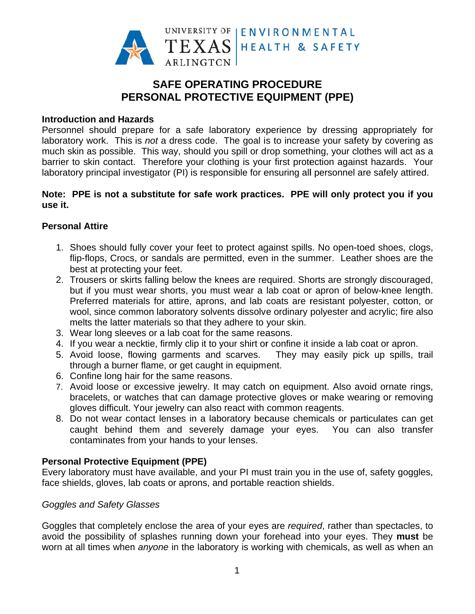

# **PERSONAL PROTECTIVE EQUIPMENT (PPE)** SAFE OPERATING PROCEDURE

### **Introduction and Hazards**

Personnel should prepare for a safe laboratory experience by dressing appropriately for laboratory work. This is *not* a dress code. The goal is to increase your safety by covering as much skin as possible. This way, should you spill or drop something, your clothes will act as a barrier to skin contact. Therefore your clothing is your first protection against hazards. Your laboratory principal investigator (PI) is responsible for ensuring all personnel are safely attired.

### Note: PPE is not a substitute for safe work practices. PPE will only protect you if you **u use it.**

### **P Personal A Attire**

- 1. Shoes should fully cover your feet to protect against spills. No open-toed shoes, clogs, flip-flops, Crocs, or sandals are permitted, even in the summer. Leather shoes are the best at protecting your feet.
- 2. Trousers or skirts falling below the knees are required. Shorts are strongly discouraged, but if you must wear shorts, you must wear a lab coat or apron of below-knee length. Preferred materials for attire, aprons, and lab coats are resistant polyester, cotton, or wool, since common laboratory solvents dissolve ordinary polyester and acrylic; fire also melts the latter materials so that they adhere to your skin.
- 3. Wear long sleeves or a lab coat for the same reasons.
- 4. If you wear a necktie, firmly clip it to your shirt or confine it inside a lab coat or apron.
- 5. Avoid loose, flowing garments and scarves. through a burner flame, or get caught in equipment. They may easily pick up spills, trail
- 6. Confine long hair for the same reasons.
- 7. Avoid loose or excessive jewelry. It may catch on equipment. Also avoid ornate rings, bracelets, or watches that can damage protective gloves or make wearing or removing gloves difficult. Your jewelry can also react with common reagents.
- 8. Do not wear contact lenses in a laboratory because chemicals or particulates can get caught behind them and severely damage your eyes. You can also transfer contaminates from your hands to your lenses.

### **Personal Protective Equipment (PPE)**

Every laboratory must have available, and your PI must train you in the use of, safety goggles, face shields, gloves, lab coats or aprons, and portable reaction shields.

### *Goggles and Safety Glasses*

Goggles that completely enclose the area of your eyes are *required*, rather than spectacles, to avoid the possibility of splashes running down your forehead into your eyes. They must be worn at all times when *anyone* in the laboratory is working with chemicals, as well as when an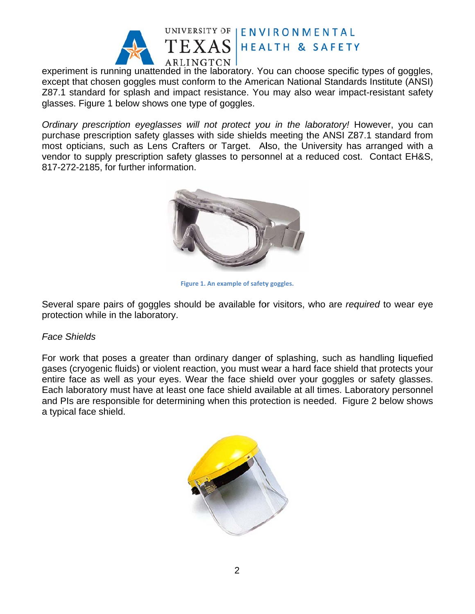

UNIVERSITY OF | ENVIRONMENTAL **HEALTH & SAFETY** 

experiment is running unattended in the laboratory. You can choose specific types of goggles, except that chosen goggles must conform to the American National Standards Institute (ANSI) Z87.1 standard for splash and impact resistance. You may also wear impact-resistant safety glasses. Figure 1 below shows one type of goggles.

*Ordinary prescription eyeglasses will not protect you in the laboratory! However, you can* purchase prescription safety glasses with side shields meeting the ANSI Z87.1 standard from most opticians, such as Lens Crafters or Target. Also, the University has arranged with a vendor to supply prescription safety glasses to personnel at a reduced cost. Contact EH&S, 817-272-2185, for further information.



**Figure 1. An ex xample of safety y goggles.**

Several spare pairs of goggles should be available for visitors, who are *required* to wear eye protection while in the laboratory.

### *F Face Shield ds*

For work that poses a greater than ordinary danger of splashing, such as handling liquefied gases (cryogenic fluids) or violent reaction, you must wear a hard face shield that protects your entire face as well as your eyes. Wear the face shield over your goggles or safety glasses. Each laboratory must have at least one face shield available at all times. Laboratory personnel and PIs are responsible for determining when this protection is needed. Figure 2 below shows a typical face shield.

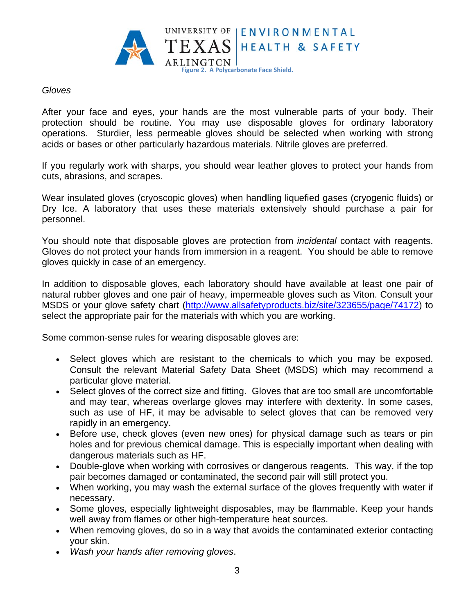

### Gloves

After your face and eyes, your hands are the most vulnerable parts of your body. Their protection should be routine. You may use disposable gloves for ordinary laboratory operations. Sturdier, less permeable gloves should be selected when working with strong acids or bases or other particularly hazardous materials. Nitrile gloves are preferred.

If you regularly work with sharps, you should wear leather gloves to protect your hands from cuts, abrasions, and scrapes.

Wear insulated gloves (cryoscopic gloves) when handling liquefied gases (cryogenic fluids) or Dry Ice. A laboratory that uses these materials extensively should purchase a pair for personnel.

You should note that disposable gloves are protection from *incidental* contact with reagents. Gloves do not protect your hands from immersion in a reagent. You should be able to remove gloves quickly in case of an emergency.

In addition to disposable gloves, each laboratory should have available at least one pair of natural rubber gloves and one pair of heavy, impermeable gloves such as Viton. Consult your MSDS or your glove safety chart (http://www.allsafetyproducts.biz/site/323655/page/74172) to select the appropriate pair for the materials with which you are working.

Some common-sense rules for wearing disposable gloves are:

- Select gloves which are resistant to the chemicals to which you may be exposed. Consult the relevant Material Safety Data Sheet (MSDS) which may recommend a particular glove material.
- Select gloves of the correct size and fitting. Gloves that are too small are uncomfortable and may tear, whereas overlarge gloves may interfere with dexterity. In some cases, such as use of HF, it may be advisable to select gloves that can be removed very rapidly in an emergency.
- Before use, check gloves (even new ones) for physical damage such as tears or pin holes and for previous chemical damage. This is especially important when dealing with dangerous materials such as HF.
- Double-glove when working with corrosives or dangerous reagents. This way, if the top pair becomes damaged or contaminated, the second pair will still protect you.
- When working, you may wash the external surface of the gloves frequently with water if necessary.
- Some gloves, especially lightweight disposables, may be flammable. Keep your hands well away from flames or other high-temperature heat sources.
- When removing gloves, do so in a way that avoids the contaminated exterior contacting your skin.
- Wash your hands after removing gloves.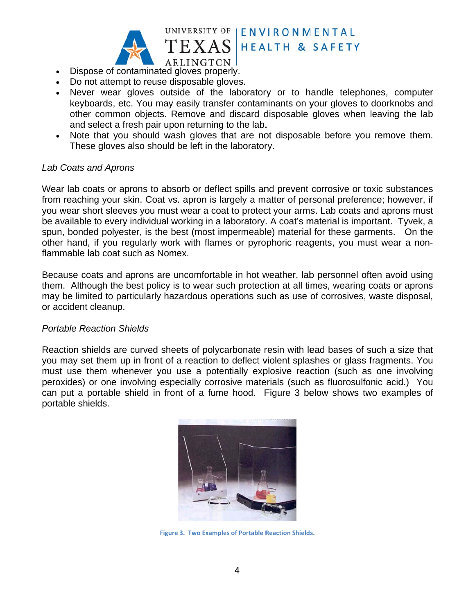

- ARLINGTON Dispose of contaminated gloves properly.
- Do not attempt to reuse disposable gloves.
- Never wear gloves outside of the laboratory or to handle telephones, computer keyboards, etc. You may easily transfer contaminants on your gloves to doorknobs and other common objects. Remove and discard disposable gloves when leaving the lab and select a fresh pair upon returning to the lab.

UNIVERSITY OF IENVIRONMENTAL

**HEALTH & SAFETY** 

Note that you should wash gloves that are not disposable before you remove them. These gloves also should be left in the laboratory.

### **Lab Coats and Aprons**

Wear lab coats or aprons to absorb or deflect spills and prevent corrosive or toxic substances from reaching your skin. Coat vs. apron is largely a matter of personal preference; however, if you wear short sleeves you must wear a coat to protect your arms. Lab coats and aprons must be available to every individual working in a laboratory. A coat's material is important. Tyvek, a spun, bonded polyester, is the best (most impermeable) material for these garments. On the other hand, if you regularly work with flames or pyrophoric reagents, you must wear a nonflammable lab coat such as Nomex.

Because coats and aprons are uncomfortable in hot weather, lab personnel often avoid using them. Although the best policy is to wear such protection at all times, wearing coats or aprons may be limited to particularly hazardous operations such as use of corrosives, waste disposal, or accident cleanup.

#### **Portable Reaction Shields**

Reaction shields are curved sheets of polycarbonate resin with lead bases of such a size that you may set them up in front of a reaction to deflect violent splashes or glass fragments. You must use them whenever you use a potentially explosive reaction (such as one involving peroxides) or one involving especially corrosive materials (such as fluorosulfonic acid.) You can put a portable shield in front of a fume hood. Figure 3 below shows two examples of portable shields.



Figure 3. Two Examples of Portable Reaction Shields.